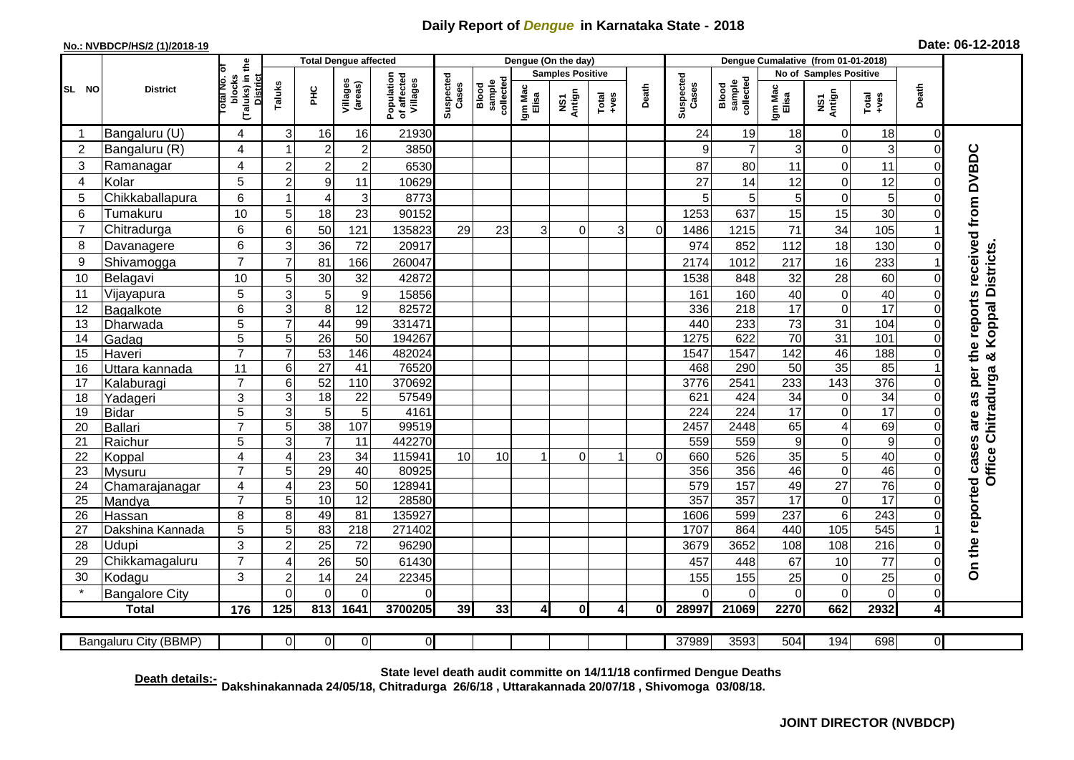## **Daily Report of** *Dengue* **in Karnataka State - 2018**

## **No.: NVBDCP/HS/2 (1)/2018-19 Date: 06-12-2018**

|                | <b>District</b>       |                                                              | <b>Total Dengue affected</b> |                 |                     |                                       |                    |                              |                         | Dengue (On the day)     |                  |                |                    |                              |                        |                 |                 |                         |                                                                  |
|----------------|-----------------------|--------------------------------------------------------------|------------------------------|-----------------|---------------------|---------------------------------------|--------------------|------------------------------|-------------------------|-------------------------|------------------|----------------|--------------------|------------------------------|------------------------|-----------------|-----------------|-------------------------|------------------------------------------------------------------|
| SL NO          |                       |                                                              |                              |                 |                     |                                       |                    |                              |                         | <b>Samples Positive</b> |                  |                |                    |                              | No of Samples Positive |                 |                 |                         |                                                                  |
|                |                       | (Taluks) in the<br>Total No. of<br>blocks<br><b>District</b> | Taluks                       | ΞÉ              | Villages<br>(areas) | Population<br>of affected<br>Villages | Suspected<br>Cases | sample<br>collected<br>Blood | Igm Mac<br>Elisa        | NS1<br>Antign           | $Tota$<br>$+ves$ | Death          | Suspected<br>Cases | sample<br>collected<br>Blood | Igm Mac<br>Elisa       | NS1<br>Antign   | $Total$         | Death                   |                                                                  |
| -1             | Bangaluru (U)         | 4                                                            | 3                            | 16              | 16                  | 21930                                 |                    |                              |                         |                         |                  |                | 24                 | 19                           | 18                     | 0               | 18              | $\overline{0}$          |                                                                  |
| $\overline{2}$ | Bangaluru (R)         | 4                                                            |                              | $\overline{2}$  | $\mathbf 2$         | 3850                                  |                    |                              |                         |                         |                  |                | 9                  | $\overline{7}$               | $\sqrt{3}$             | $\mathbf 0$     | 3               | $\mathbf 0$             |                                                                  |
| $\mathbf{3}$   | Ramanagar             | 4                                                            | 2                            | $\overline{2}$  | $\overline{c}$      | 6530                                  |                    |                              |                         |                         |                  |                | 87                 | 80                           | 11                     | $\mathbf 0$     | 11              | $\mathbf 0$             | On the reported cases are as per the reports received from DVBDC |
| 4              | Kolar                 | 5                                                            | $\overline{c}$               | $9\,$           | 11                  | 10629                                 |                    |                              |                         |                         |                  |                | 27                 | 14                           | 12                     | $\mathbf 0$     | 12              | $\pmb{0}$               |                                                                  |
| 5              | Chikkaballapura       | 6                                                            |                              | 4               | 3                   | 8773                                  |                    |                              |                         |                         |                  |                | 5                  | 5                            | $5\phantom{.0}$        | $\mathbf 0$     | 5               | $\mathbf 0$             |                                                                  |
| 6              | Tumakuru              | 10                                                           | 5                            | 18              | 23                  | 90152                                 |                    |                              |                         |                         |                  |                | 1253               | 637                          | 15                     | 15              | 30              | $\mathbf 0$             |                                                                  |
| $\overline{7}$ | Chitradurga           | 6                                                            | 6                            | 50              | 121                 | 135823                                | 29                 | 23                           | 3                       | 0                       | 3                | $\overline{0}$ | 1486               | 1215                         | 71                     | $\overline{34}$ | 105             |                         |                                                                  |
| 8              | Davanagere            | 6                                                            | 3                            | 36              | 72                  | 20917                                 |                    |                              |                         |                         |                  |                | 974                | 852                          | 112                    | 18              | 130             | $\mathbf 0$             |                                                                  |
| 9              | Shivamogga            | $\overline{7}$                                               | 7                            | 81              | 166                 | 260047                                |                    |                              |                         |                         |                  |                | 2174               | 1012                         | 217                    | 16              | 233             |                         | <b>Koppal Districts</b>                                          |
| 10             | Belagavi              | 10                                                           | 5                            | 30              | 32                  | 42872                                 |                    |                              |                         |                         |                  |                | 1538               | 848                          | 32                     | 28              | 60              | $\pmb{0}$               |                                                                  |
| 11             | Vijayapura            | 5                                                            | 3                            | 5               | $\boldsymbol{9}$    | 15856                                 |                    |                              |                         |                         |                  |                | 161                | 160                          | 40                     | $\pmb{0}$       | 40              | 0                       |                                                                  |
| 12             | Bagalkote             | 6                                                            | 3                            | 8               | $\overline{12}$     | 82572                                 |                    |                              |                         |                         |                  |                | 336                | $\overline{218}$             | $\overline{17}$        | $\overline{0}$  | $\overline{17}$ | $\pmb{0}$               |                                                                  |
| 13             | Dharwada              | $\overline{5}$                                               | $\overline{7}$               | 44              | 99                  | 331471                                |                    |                              |                         |                         |                  |                | 440                | 233                          | 73                     | 31              | 104             | $\mathsf{O}\xspace$     |                                                                  |
| 14             | Gadag                 | $\overline{5}$                                               | 5                            | 26              | 50                  | 194267                                |                    |                              |                         |                         |                  |                | 1275               | 622                          | $\overline{70}$        | $\overline{31}$ | 101             | $\overline{\mathsf{o}}$ |                                                                  |
| 15             | Haveri                | $\overline{7}$                                               | $\overline{7}$               | 53              | 146                 | 482024                                |                    |                              |                         |                         |                  |                | 1547               | 1547                         | 142                    | 46              | 188             | $\pmb{0}$               | ×                                                                |
| 16             | Uttara kannada        | $\overline{11}$                                              | 6                            | $\overline{27}$ | $\overline{41}$     | 76520                                 |                    |                              |                         |                         |                  |                | 468                | 290                          | 50                     | 35              | 85              |                         |                                                                  |
| 17             | Kalaburagi            | $\overline{7}$                                               | 6                            | 52              | 110                 | 370692                                |                    |                              |                         |                         |                  |                | 3776               | 2541                         | 233                    | 143             | 376             | $\mathbf 0$             |                                                                  |
| 18             | Yadageri              | 3                                                            | 3                            | 18              | 22                  | 57549                                 |                    |                              |                         |                         |                  |                | 621                | 424                          | 34                     | $\pmb{0}$       | 34              | 0                       |                                                                  |
| 19             | <b>Bidar</b>          | $\overline{5}$                                               | 3                            | $\overline{5}$  | 5                   | 4161                                  |                    |                              |                         |                         |                  |                | 224                | 224                          | 17                     | $\overline{0}$  | 17              | 0                       |                                                                  |
| 20             | Ballari               | $\overline{7}$                                               | 5                            | 38              | 107                 | 99519                                 |                    |                              |                         |                         |                  |                | 2457               | 2448                         | 65                     | $\overline{4}$  | 69              | $\mathbf 0$             | Chitradurga                                                      |
| 21             | Raichur               | 5                                                            | 3                            | $\overline{7}$  | 11                  | 442270                                |                    |                              |                         |                         |                  |                | 559                | 559                          | $\boldsymbol{9}$       | $\mathsf 0$     | $\overline{9}$  | $\pmb{0}$               |                                                                  |
| 22             | Koppal                | 4                                                            | $\overline{A}$               | 23              | $\overline{34}$     | 115941                                | 10                 | 10                           |                         | $\Omega$                | 1                | $\Omega$       | 660                | 526                          | 35                     | $\overline{5}$  | 40              | $\pmb{0}$               | Office                                                           |
| 23             | Mysuru                | $\overline{7}$                                               | 5                            | 29              | 40                  | 80925                                 |                    |                              |                         |                         |                  |                | 356                | 356                          | 46                     | $\overline{0}$  | 46              | $\mathsf{O}\xspace$     |                                                                  |
| 24             | Chamarajanagar        | 4                                                            | $\overline{4}$               | 23              | 50                  | 128941                                |                    |                              |                         |                         |                  |                | 579                | 157                          | 49                     | $\overline{27}$ | 76              | $\overline{\mathsf{o}}$ |                                                                  |
| 25             | Mandya                | $\overline{7}$                                               | 5                            | 10              | 12                  | 28580                                 |                    |                              |                         |                         |                  |                | 357                | 357                          | 17                     | $\overline{0}$  | 17              | $\mathsf{O}\xspace$     |                                                                  |
| 26             | Hassan                | 8                                                            | 8                            | 49              | 81                  | 135927                                |                    |                              |                         |                         |                  |                | 1606               | 599                          | 237                    | $\overline{6}$  | 243             | $\mathsf{O}\xspace$     |                                                                  |
| 27             | Dakshina Kannada      | $\overline{5}$                                               | 5                            | 83              | 218                 | 271402                                |                    |                              |                         |                         |                  |                | 1707               | 864                          | 440                    | 105             | 545             |                         |                                                                  |
| 28             | Udupi                 | 3                                                            | $\overline{c}$               | 25              | 72                  | 96290                                 |                    |                              |                         |                         |                  |                | 3679               | 3652                         | 108                    | 108             | 216             | $\mathbf 0$             |                                                                  |
| 29             | Chikkamagaluru        | $\overline{7}$                                               | 4                            | 26              | 50                  | 61430                                 |                    |                              |                         |                         |                  |                | 457                | 448                          | 67                     | 10              | 77              | $\mathbf 0$             |                                                                  |
| 30             | Kodagu                | 3                                                            | $\overline{2}$               | 14              | 24                  | 22345                                 |                    |                              |                         |                         |                  |                | 155                | 155                          | 25                     | $\pmb{0}$       | 25              | $\overline{0}$          |                                                                  |
|                | <b>Bangalore City</b> |                                                              | $\Omega$                     | $\mathbf 0$     | $\overline{0}$      | 0                                     |                    |                              |                         |                         |                  |                | $\Omega$           | $\Omega$                     | $\Omega$               | $\mathbf 0$     | $\overline{0}$  | $\overline{0}$          |                                                                  |
|                | <b>Total</b>          | 176                                                          | 125                          | 813             | 1641                | 3700205                               | 39                 | 33                           | $\overline{\mathbf{A}}$ | 0I                      | $\mathbf{I}$     | $\mathbf{0}$   | 28997              | 21069                        | 2270                   | 662             | 2932            | 4                       |                                                                  |
|                |                       |                                                              |                              |                 |                     |                                       |                    |                              |                         |                         |                  |                |                    |                              |                        |                 |                 |                         |                                                                  |
|                | Bangaluru City (BBMP) |                                                              | $\Omega$                     | $\overline{0}$  | O                   | $\overline{0}$                        |                    |                              |                         |                         |                  |                | 37989              | 3593                         | 504                    | 194             | 698             | $\overline{0}$          |                                                                  |

**Death details:- State level death audit committe on 14/11/18 confirmed Dengue Deaths Dakshinakannada 24/05/18, Chitradurga 26/6/18 , Uttarakannada 20/07/18 , Shivomoga 03/08/18.**